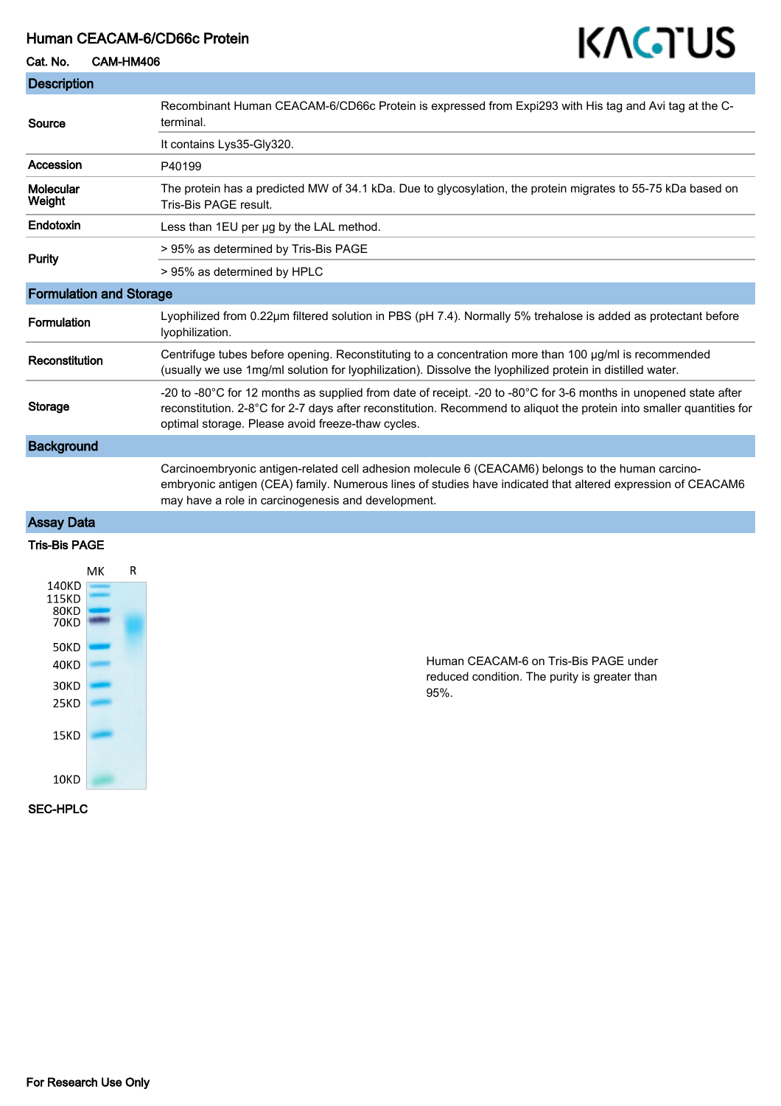## Human CEACAM-6/CD66c Protein

Cat. No. CAM-HM406

# KAGTUS

| <b>Description</b>             |                                                                                                                                                                                                                                                                                                |
|--------------------------------|------------------------------------------------------------------------------------------------------------------------------------------------------------------------------------------------------------------------------------------------------------------------------------------------|
| Source                         | Recombinant Human CEACAM-6/CD66c Protein is expressed from Expi293 with His tag and Avi tag at the C-<br>terminal.                                                                                                                                                                             |
|                                | It contains Lys35-Gly320.                                                                                                                                                                                                                                                                      |
| Accession                      | P40199                                                                                                                                                                                                                                                                                         |
| Molecular<br>Weight            | The protein has a predicted MW of 34.1 kDa. Due to glycosylation, the protein migrates to 55-75 kDa based on<br>Tris-Bis PAGE result.                                                                                                                                                          |
| Endotoxin                      | Less than 1EU per ug by the LAL method.                                                                                                                                                                                                                                                        |
| Purity                         | > 95% as determined by Tris-Bis PAGE                                                                                                                                                                                                                                                           |
|                                | > 95% as determined by HPLC                                                                                                                                                                                                                                                                    |
| <b>Formulation and Storage</b> |                                                                                                                                                                                                                                                                                                |
| Formulation                    | Lyophilized from 0.22µm filtered solution in PBS (pH 7.4). Normally 5% trehalose is added as protectant before<br>lyophilization.                                                                                                                                                              |
| Reconstitution                 | Centrifuge tubes before opening. Reconstituting to a concentration more than 100 µg/ml is recommended<br>(usually we use 1mg/ml solution for lyophilization). Dissolve the lyophilized protein in distilled water.                                                                             |
| Storage                        | -20 to -80°C for 12 months as supplied from date of receipt. -20 to -80°C for 3-6 months in unopened state after<br>reconstitution. 2-8°C for 2-7 days after reconstitution. Recommend to aliquot the protein into smaller quantities for<br>optimal storage. Please avoid freeze-thaw cycles. |
| <b>Background</b>              |                                                                                                                                                                                                                                                                                                |
|                                | Carcinoembryonic antigen-related cell adhesion molecule 6 (CEACAM6) belongs to the human carcino-<br>embryonic antigen (CEA) family. Numerous lines of studies have indicated that altered expression of CEACAM6<br>may have a role in carcinogenesis and development.                         |
|                                |                                                                                                                                                                                                                                                                                                |

# Assay Data

## Tris-Bis PAGE



Human CEACAM-6 on Tris-Bis PAGE under reduced condition. The purity is greater than 95%.

#### SEC-HPLC